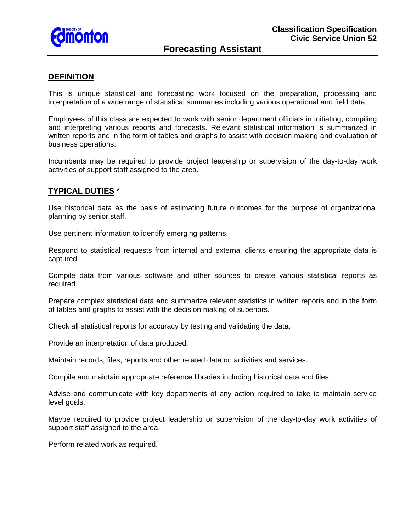

### **DEFINITION**

This is unique statistical and forecasting work focused on the preparation, processing and interpretation of a wide range of statistical summaries including various operational and field data.

Employees of this class are expected to work with senior department officials in initiating, compiling and interpreting various reports and forecasts. Relevant statistical information is summarized in written reports and in the form of tables and graphs to assist with decision making and evaluation of business operations.

Incumbents may be required to provide project leadership or supervision of the day-to-day work activities of support staff assigned to the area.

### **TYPICAL DUTIES** \*

Use historical data as the basis of estimating future outcomes for the purpose of organizational planning by senior staff.

Use pertinent information to identify emerging patterns.

Respond to statistical requests from internal and external clients ensuring the appropriate data is captured.

Compile data from various software and other sources to create various statistical reports as required.

Prepare complex statistical data and summarize relevant statistics in written reports and in the form of tables and graphs to assist with the decision making of superiors.

Check all statistical reports for accuracy by testing and validating the data.

Provide an interpretation of data produced.

Maintain records, files, reports and other related data on activities and services.

Compile and maintain appropriate reference libraries including historical data and files.

Advise and communicate with key departments of any action required to take to maintain service level goals.

Maybe required to provide project leadership or supervision of the day-to-day work activities of support staff assigned to the area.

Perform related work as required.